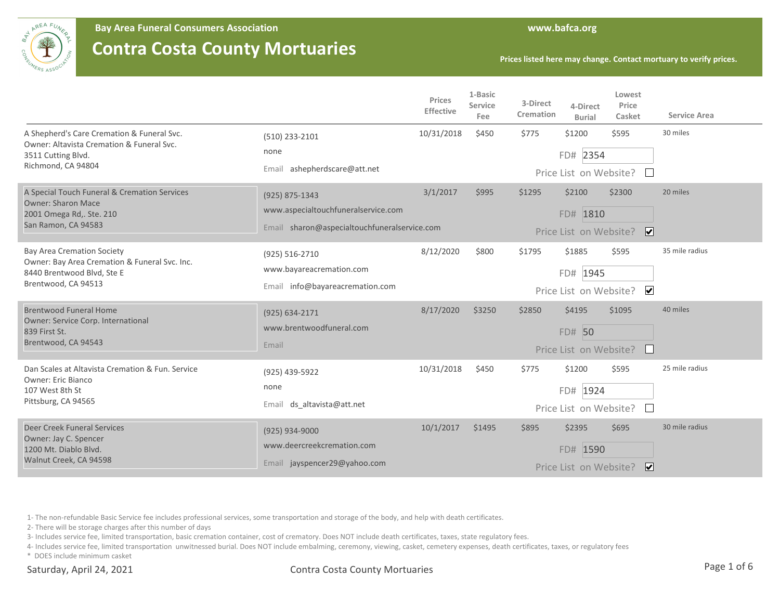

**Bay Area Funeral Consumers Association www.bafca.org**

## **Contra Costa County Mortuaries**

**Prices listed here may change. Contact mortuary to verify prices.**

|                                                                                                                                         |                                                                                                       | Prices<br>Effective | 1-Basic<br>Service<br>Fee | 3-Direct<br>Cremation | 4-Direct<br><b>Burial</b>                    | Lowest<br>Price<br>Casket              | <b>Service Area</b> |
|-----------------------------------------------------------------------------------------------------------------------------------------|-------------------------------------------------------------------------------------------------------|---------------------|---------------------------|-----------------------|----------------------------------------------|----------------------------------------|---------------------|
| A Shepherd's Care Cremation & Funeral Svc.<br>Owner: Altavista Cremation & Funeral Svc.<br>3511 Cutting Blvd.<br>Richmond, CA 94804     | (510) 233-2101<br>none<br>ashepherdscare@att.net<br>Email                                             | 10/31/2018          | \$450                     | \$775                 | \$1200<br>FD# 2354<br>Price List on Website? | \$595                                  | 30 miles            |
| A Special Touch Funeral & Cremation Services<br><b>Owner: Sharon Mace</b><br>2001 Omega Rd,. Ste. 210<br>San Ramon, CA 94583            | (925) 875-1343<br>www.aspecialtouchfuneralservice.com<br>Email sharon@aspecialtouchfuneralservice.com | 3/1/2017            | \$995                     | \$1295                | \$2100<br>FD# 1810<br>Price List on Website? | \$2300<br>$\boxed{\blacktriangledown}$ | 20 miles            |
| <b>Bay Area Cremation Society</b><br>Owner: Bay Area Cremation & Funeral Svc. Inc.<br>8440 Brentwood Blvd, Ste E<br>Brentwood, CA 94513 | (925) 516-2710<br>www.bayareacremation.com<br>Email info@bayareacremation.com                         | 8/12/2020           | \$800                     | \$1795                | \$1885<br>FD# 1945<br>Price List on Website? | \$595<br>$\overline{\mathbf{v}}$       | 35 mile radius      |
| <b>Brentwood Funeral Home</b><br>Owner: Service Corp. International<br>839 First St.<br>Brentwood, CA 94543                             | (925) 634-2171<br>www.brentwoodfuneral.com<br>Email                                                   | 8/17/2020           | \$3250                    | \$2850                | \$4195<br>FD# 50<br>Price List on Website?   | \$1095                                 | 40 miles            |
| Dan Scales at Altavista Cremation & Fun. Service<br><b>Owner: Eric Bianco</b><br>107 West 8th St<br>Pittsburg, CA 94565                 | (925) 439-5922<br>none<br>Email ds altavista@att.net                                                  | 10/31/2018          | \$450                     | \$775                 | \$1200<br>FD# 1924<br>Price List on Website? | \$595                                  | 25 mile radius      |
| Deer Creek Funeral Services<br>Owner: Jay C. Spencer<br>1200 Mt. Diablo Blvd.<br>Walnut Creek, CA 94598                                 | (925) 934-9000<br>www.deercreekcremation.com<br>Email jayspencer29@yahoo.com                          | 10/1/2017           | \$1495                    | \$895                 | \$2395<br>FD# 1590<br>Price List on Website? | \$695<br>∣V∣                           | 30 mile radius      |

1- The non-refundable Basic Service fee includes professional services, some transportation and storage of the body, and help with death certificates.

2- There will be storage charges after this number of days

3- Includes service fee, limited transportation, basic cremation container, cost of crematory. Does NOT include death certificates, taxes, state regulatory fees.

4- Includes service fee, limited transportation unwitnessed burial. Does NOT include embalming, ceremony, viewing, casket, cemetery expenses, death certificates, taxes, or regulatory fees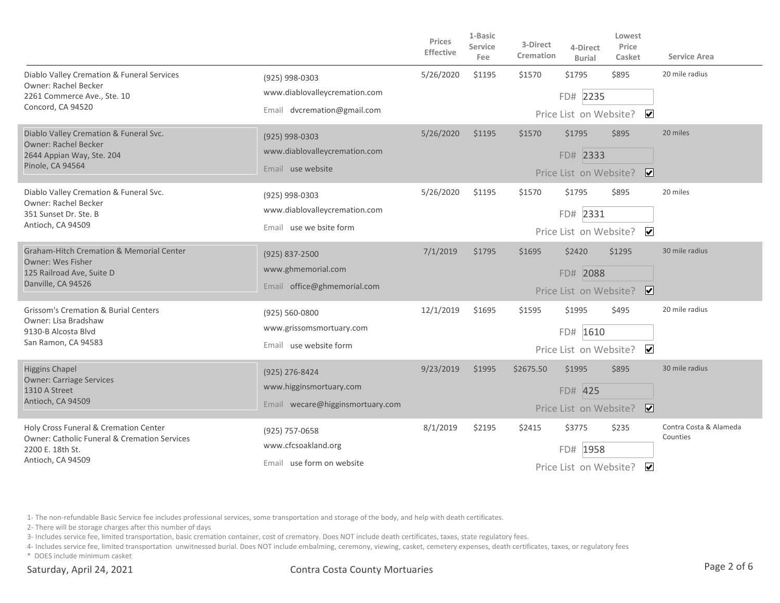|                                                                                                                                           |                                                                                | <b>Prices</b><br>Effective | 1-Basic<br>Service<br>Fee | 3-Direct<br>Cremation | 4-Direct<br><b>Burial</b>                       | Lowest<br>Price<br>Casket            | <b>Service Area</b>                |
|-------------------------------------------------------------------------------------------------------------------------------------------|--------------------------------------------------------------------------------|----------------------------|---------------------------|-----------------------|-------------------------------------------------|--------------------------------------|------------------------------------|
| Diablo Valley Cremation & Funeral Services<br><b>Owner: Rachel Becker</b><br>2261 Commerce Ave., Ste. 10<br>Concord, CA 94520             | (925) 998-0303<br>www.diablovalleycremation.com<br>Email dvcremation@gmail.com | 5/26/2020                  | \$1195                    | \$1570                | \$1795<br>FD# 2235<br>Price List on Website?    | \$895<br>$\overline{\mathbf{v}}$     | 20 mile radius                     |
| Diablo Valley Cremation & Funeral Svc.<br><b>Owner: Rachel Becker</b><br>2644 Appian Way, Ste. 204<br>Pinole, CA 94564                    | (925) 998-0303<br>www.diablovalleycremation.com<br>Email use website           | 5/26/2020                  | \$1195                    | \$1570                | \$1795<br>FD# 2333<br>Price List on Website?    | \$895<br>$\overline{\mathbf{v}}$     | 20 miles                           |
| Diablo Valley Cremation & Funeral Svc.<br>Owner: Rachel Becker<br>351 Sunset Dr. Ste. B<br>Antioch, CA 94509                              | (925) 998-0303<br>www.diablovalleycremation.com<br>Email use we bsite form     | 5/26/2020                  | \$1195                    | \$1570                | \$1795<br>FD# 2331<br>Price List on Website?    | \$895<br>$\overline{\mathbf{v}}$     | 20 miles                           |
| <b>Graham-Hitch Cremation &amp; Memorial Center</b><br><b>Owner: Wes Fisher</b><br>125 Railroad Ave, Suite D<br>Danville, CA 94526        | (925) 837-2500<br>www.ghmemorial.com<br>Email office@ghmemorial.com            | 7/1/2019                   | \$1795                    | \$1695                | \$2420<br>FD# 2088<br>Price List on Website?    | \$1295<br>$\overline{\mathbf{v}}$    | 30 mile radius                     |
| <b>Grissom's Cremation &amp; Burial Centers</b><br>Owner: Lisa Bradshaw<br>9130-B Alcosta Blvd<br>San Ramon, CA 94583                     | (925) 560-0800<br>www.grissomsmortuary.com<br>Email use website form           | 12/1/2019                  | \$1695                    | \$1595                | \$1995<br>FD# 1610                              | \$495<br>Price List on Website? ✔    | 20 mile radius                     |
| <b>Higgins Chapel</b><br><b>Owner: Carriage Services</b><br>1310 A Street<br>Antioch, CA 94509                                            | (925) 276-8424<br>www.higginsmortuary.com<br>Email wecare@higginsmortuary.com  | 9/23/2019                  | \$1995                    | \$2675.50             | \$1995<br>FD# 425<br>Price List on Website?     | \$895<br>$\overline{\mathbf{v}}$     | 30 mile radius                     |
| Holy Cross Funeral & Cremation Center<br><b>Owner: Catholic Funeral &amp; Cremation Services</b><br>2200 E. 18th St.<br>Antioch, CA 94509 | (925) 757-0658<br>www.cfcsoakland.org<br>Email use form on website             | 8/1/2019                   | \$2195                    | \$2415                | \$3775<br>1958<br>FD#<br>Price List on Website? | \$235<br>$\overline{\blacktriangle}$ | Contra Costa & Alameda<br>Counties |

2- There will be storage charges after this number of days

3- Includes service fee, limited transportation, basic cremation container, cost of crematory. Does NOT include death certificates, taxes, state regulatory fees.

4- Includes service fee, limited transportation unwitnessed burial. Does NOT include embalming, ceremony, viewing, casket, cemetery expenses, death certificates, taxes, or regulatory fees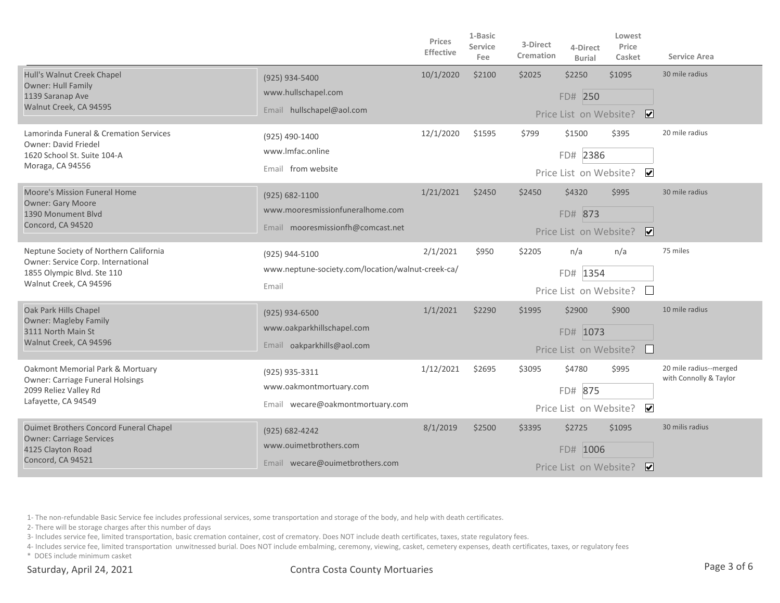|                                                                                                                                      |                                                                                             | Prices<br><b>Effective</b> | 1-Basic<br><b>Service</b><br>Fee | 3-Direct<br>Cremation | 4-Direct<br><b>Burial</b>                      | Lowest<br>Price<br>Casket        | Service Area                                     |
|--------------------------------------------------------------------------------------------------------------------------------------|---------------------------------------------------------------------------------------------|----------------------------|----------------------------------|-----------------------|------------------------------------------------|----------------------------------|--------------------------------------------------|
| Hull's Walnut Creek Chapel<br>Owner: Hull Family<br>1139 Saranap Ave<br>Walnut Creek, CA 94595                                       | (925) 934-5400<br>www.hullschapel.com<br>Email hullschapel@aol.com                          | 10/1/2020                  | \$2100                           | \$2025                | \$2250<br>FD# 250<br>Price List on Website?    | \$1095<br>⊡                      | 30 mile radius                                   |
| Lamorinda Funeral & Cremation Services<br>Owner: David Friedel<br>1620 School St. Suite 104-A<br>Moraga, CA 94556                    | (925) 490-1400<br>www.Imfac.online<br>Email from website                                    | 12/1/2020                  | \$1595                           | \$799                 | \$1500<br>FD# 2386<br>Price List on Website?   | \$395<br>$\blacktriangledown$    | 20 mile radius                                   |
| Moore's Mission Funeral Home<br><b>Owner: Gary Moore</b><br>1390 Monument Blvd<br>Concord, CA 94520                                  | $(925) 682 - 1100$<br>www.mooresmissionfuneralhome.com<br>Email mooresmissionfh@comcast.net | 1/21/2021                  | \$2450                           | \$2450                | \$4320<br>FD# 873<br>Price List on Website?    | \$995<br>$\overline{\mathbf{v}}$ | 30 mile radius                                   |
| Neptune Society of Northern California<br>Owner: Service Corp. International<br>1855 Olympic Blvd. Ste 110<br>Walnut Creek, CA 94596 | (925) 944-5100<br>www.neptune-society.com/location/walnut-creek-ca/<br>Email                | 2/1/2021                   | \$950                            | \$2205                | n/a<br>FD# 1354<br>Price List on Website?      | n/a                              | 75 miles                                         |
| Oak Park Hills Chapel<br><b>Owner: Magleby Family</b><br>3111 North Main St<br>Walnut Creek, CA 94596                                | (925) 934-6500<br>www.oakparkhillschapel.com<br>Email oakparkhills@aol.com                  | 1/1/2021                   | \$2290                           | \$1995                | \$2900<br>FD# 1073<br>Price List on Website?   | \$900                            | 10 mile radius                                   |
| Oakmont Memorial Park & Mortuary<br><b>Owner: Carriage Funeral Holsings</b><br>2099 Reliez Valley Rd<br>Lafayette, CA 94549          | (925) 935-3311<br>www.oakmontmortuary.com<br>Email wecare@oakmontmortuary.com               | 1/12/2021                  | \$2695                           | \$3095                | \$4780<br>875<br>FD#<br>Price List on Website? | \$995<br>$\blacktriangledown$    | 20 mile radius--merged<br>with Connolly & Taylor |
| <b>Ouimet Brothers Concord Funeral Chapel</b><br><b>Owner: Carriage Services</b><br>4125 Clayton Road<br>Concord, CA 94521           | (925) 682-4242<br>www.ouimetbrothers.com<br>Email wecare@ouimetbrothers.com                 | 8/1/2019                   | \$2500                           | \$3395                | \$2725<br>FD# 1006<br>Price List on Website?   | \$1095<br>∣✔                     | 30 milis radius                                  |

2- There will be storage charges after this number of days

3- Includes service fee, limited transportation, basic cremation container, cost of crematory. Does NOT include death certificates, taxes, state regulatory fees.

4- Includes service fee, limited transportation unwitnessed burial. Does NOT include embalming, ceremony, viewing, casket, cemetery expenses, death certificates, taxes, or regulatory fees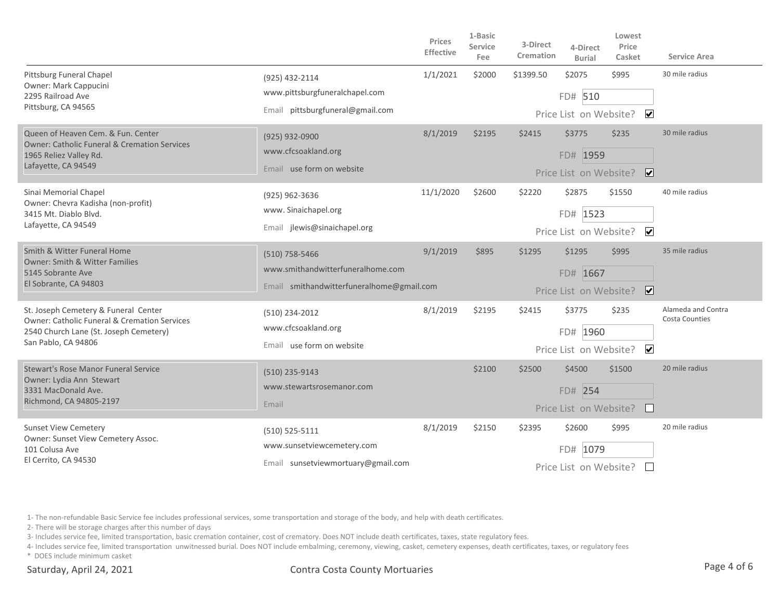|                                                                                                             |                                           | Prices<br><b>Effective</b> | 1-Basic<br><b>Service</b><br>Fee | 3-Direct<br>Cremation | 4-Direct<br><b>Burial</b> | Lowest<br>Price<br>Casket | <b>Service Area</b>                         |  |
|-------------------------------------------------------------------------------------------------------------|-------------------------------------------|----------------------------|----------------------------------|-----------------------|---------------------------|---------------------------|---------------------------------------------|--|
| <b>Pittsburg Funeral Chapel</b><br>Owner: Mark Cappucini                                                    | (925) 432-2114                            | 1/1/2021                   | \$2000                           | \$1399.50             | \$2075                    | \$995                     | 30 mile radius                              |  |
| 2295 Railroad Ave                                                                                           | www.pittsburgfuneralchapel.com            |                            |                                  |                       | FD# 510                   |                           |                                             |  |
| Pittsburg, CA 94565                                                                                         | Email pittsburgfuneral@gmail.com          |                            |                                  |                       | Price List on Website?    | $\overline{\mathbf{v}}$   |                                             |  |
| Queen of Heaven Cem. & Fun. Center<br><b>Owner: Catholic Funeral &amp; Cremation Services</b>               | (925) 932-0900                            | 8/1/2019                   | \$2195                           | \$2415                | \$3775                    | \$235                     | 30 mile radius                              |  |
| 1965 Reliez Valley Rd.                                                                                      | www.cfcsoakland.org                       |                            |                                  |                       | FD# 1959                  |                           |                                             |  |
| Lafayette, CA 94549                                                                                         | Email use form on website                 |                            |                                  |                       | Price List on Website?    | $\overline{\mathbf{v}}$   |                                             |  |
| Sinai Memorial Chapel                                                                                       | (925) 962-3636                            | 11/1/2020                  | \$2600                           | \$2220                | \$2875                    | \$1550                    | 40 mile radius                              |  |
| Owner: Chevra Kadisha (non-profit)<br>3415 Mt. Diablo Blvd.                                                 | www. Sinaichapel.org                      |                            |                                  |                       | FD# 1523                  |                           |                                             |  |
| Lafayette, CA 94549                                                                                         | Email jlewis@sinaichapel.org              |                            |                                  |                       | Price List on Website?    | $\overline{\mathbf{v}}$   |                                             |  |
| Smith & Witter Funeral Home<br><b>Owner: Smith &amp; Witter Families</b>                                    | $(510)$ 758-5466                          | 9/1/2019                   | \$895                            | \$1295                | \$1295                    | \$995                     | 35 mile radius                              |  |
| 5145 Sobrante Ave                                                                                           | www.smithandwitterfuneralhome.com         |                            |                                  |                       | FD# 1667                  |                           |                                             |  |
| El Sobrante, CA 94803                                                                                       | Email smithandwitterfuneralhome@gmail.com |                            |                                  |                       | Price List on Website?    | $\overline{\mathbf{v}}$   |                                             |  |
| St. Joseph Cemetery & Funeral Center<br><b>Owner: Catholic Funeral &amp; Cremation Services</b>             | (510) 234-2012                            | 8/1/2019                   | \$2195                           | \$2415                | \$3775                    | \$235                     | Alameda and Contra<br><b>Costa Counties</b> |  |
| 2540 Church Lane (St. Joseph Cemetery)                                                                      | www.cfcsoakland.org                       |                            |                                  |                       | FD# 1960                  |                           |                                             |  |
| San Pablo, CA 94806                                                                                         | Email use form on website                 |                            |                                  |                       | Price List on Website?    | $\overline{\mathbf{v}}$   |                                             |  |
| <b>Stewart's Rose Manor Funeral Service</b><br>Owner: Lydia Ann Stewart                                     | (510) 235-9143                            |                            | \$2100                           | \$2500                | \$4500                    | \$1500                    | 20 mile radius                              |  |
| 3331 MacDonald Ave.                                                                                         | www.stewartsrosemanor.com                 |                            |                                  |                       | FD# 254                   |                           |                                             |  |
| Richmond, CA 94805-2197                                                                                     | Email                                     |                            |                                  |                       | Price List on Website?    |                           |                                             |  |
| <b>Sunset View Cemetery</b><br>Owner: Sunset View Cemetery Assoc.<br>101 Colusa Ave<br>El Cerrito, CA 94530 | (510) 525-5111                            | 8/1/2019                   | \$2150                           | \$2395                | \$2600                    | \$995                     | 20 mile radius                              |  |
|                                                                                                             | www.sunsetviewcemetery.com                |                            |                                  |                       | FD#<br>1079               |                           |                                             |  |
|                                                                                                             | Email sunsetviewmortuary@gmail.com        |                            |                                  |                       | Price List on Website?    |                           |                                             |  |

2- There will be storage charges after this number of days

3- Includes service fee, limited transportation, basic cremation container, cost of crematory. Does NOT include death certificates, taxes, state regulatory fees.

4- Includes service fee, limited transportation unwitnessed burial. Does NOT include embalming, ceremony, viewing, casket, cemetery expenses, death certificates, taxes, or regulatory fees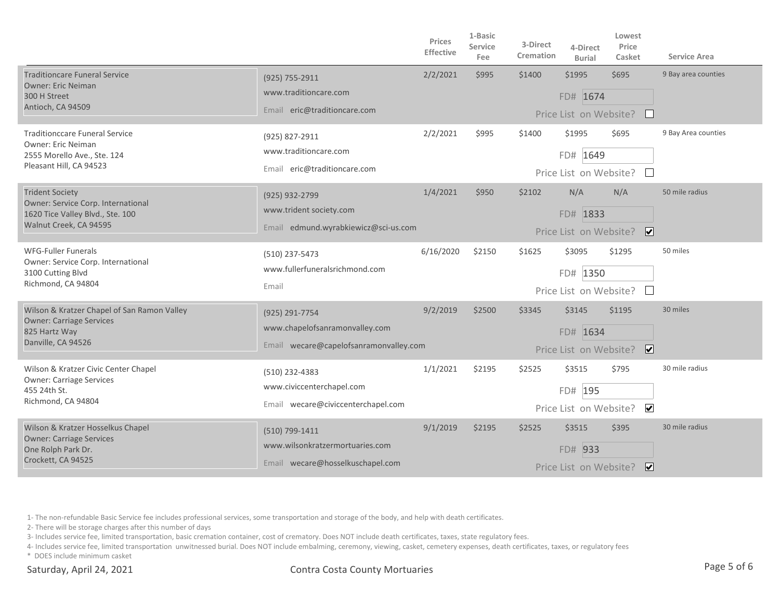|                                                                                                                            |                                                                                            | Prices<br><b>Effective</b> | 1-Basic<br><b>Service</b><br>Fee | 3-Direct<br>Cremation | 4-Direct<br><b>Burial</b>                    | Lowest<br>Price<br>Casket         | <b>Service Area</b> |
|----------------------------------------------------------------------------------------------------------------------------|--------------------------------------------------------------------------------------------|----------------------------|----------------------------------|-----------------------|----------------------------------------------|-----------------------------------|---------------------|
| <b>Traditioncare Funeral Service</b><br><b>Owner: Eric Neiman</b><br>300 H Street<br>Antioch, CA 94509                     | (925) 755-2911<br>www.traditioncare.com<br>Email eric@traditioncare.com                    | 2/2/2021                   | \$995                            | \$1400                | \$1995<br>FD# 1674<br>Price List on Website? | \$695                             | 9 Bay area counties |
| <b>Traditionccare Funeral Service</b><br>Owner: Eric Neiman<br>2555 Morello Ave., Ste. 124<br>Pleasant Hill, CA 94523      | (925) 827-2911<br>www.traditioncare.com<br>Email eric@traditioncare.com                    | 2/2/2021                   | \$995                            | \$1400                | \$1995<br>FD# 1649<br>Price List on Website? | \$695                             | 9 Bay Area counties |
| <b>Trident Society</b><br>Owner: Service Corp. International<br>1620 Tice Valley Blvd., Ste. 100<br>Walnut Creek, CA 94595 | (925) 932-2799<br>www.trident society.com<br>Email edmund.wyrabkiewicz@sci-us.com          | 1/4/2021                   | \$950                            | \$2102                | N/A<br>FD# 1833                              | N/A<br>Price List on Website? ✔   | 50 mile radius      |
| <b>WFG-Fuller Funerals</b><br>Owner: Service Corp. International<br>3100 Cutting Blvd<br>Richmond, CA 94804                | (510) 237-5473<br>www.fullerfuneralsrichmond.com<br>Email                                  | 6/16/2020                  | \$2150                           | \$1625                | \$3095<br>FD# 1350<br>Price List on Website? | \$1295                            | 50 miles            |
| Wilson & Kratzer Chapel of San Ramon Valley<br><b>Owner: Carriage Services</b><br>825 Hartz Way<br>Danville, CA 94526      | (925) 291-7754<br>www.chapelofsanramonvalley.com<br>Email wecare@capelofsanramonvalley.com | 9/2/2019                   | \$2500                           | \$3345                | \$3145<br>FD# 1634<br>Price List on Website? | \$1195<br>$\overline{\mathbf{v}}$ | 30 miles            |
| Wilson & Kratzer Civic Center Chapel<br><b>Owner: Carriage Services</b><br>455 24th St.<br>Richmond, CA 94804              | (510) 232-4383<br>www.civiccenterchapel.com<br>Email wecare@civiccenterchapel.com          | 1/1/2021                   | \$2195                           | \$2525                | \$3515<br>FD# 195<br>Price List on Website?  | \$795<br>$\blacktriangledown$     | 30 mile radius      |
| Wilson & Kratzer Hosselkus Chapel<br><b>Owner: Carriage Services</b><br>One Rolph Park Dr.<br>Crockett, CA 94525           | (510) 799-1411<br>www.wilsonkratzermortuaries.com<br>Email wecare@hosselkuschapel.com      | 9/1/2019                   | \$2195                           | \$2525                | \$3515<br>FD# 933<br>Price List on Website?  | \$395<br>∣V∣                      | 30 mile radius      |

2- There will be storage charges after this number of days

3- Includes service fee, limited transportation, basic cremation container, cost of crematory. Does NOT include death certificates, taxes, state regulatory fees.

4- Includes service fee, limited transportation unwitnessed burial. Does NOT include embalming, ceremony, viewing, casket, cemetery expenses, death certificates, taxes, or regulatory fees